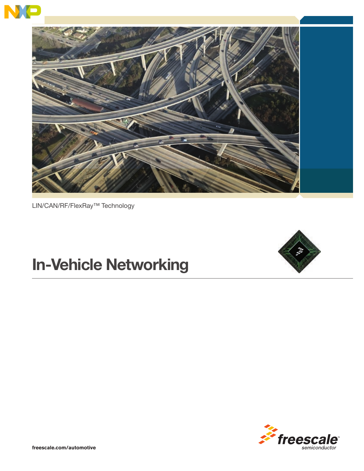



LIN/CAN/RF/FlexRay™ Technology

# **In-Vehicle Networking**



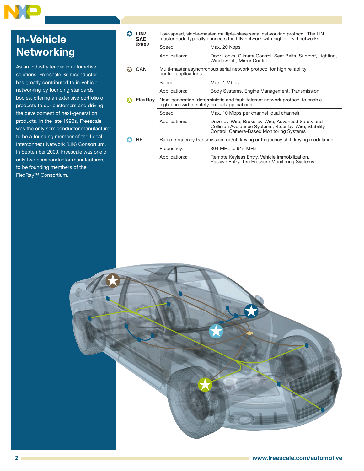## **In-Vehicle Networking**

As an industry leader in automotive solutions, Freescale Semiconductor has greatly contributed to in-vehicle networking by founding standards bodies, offering an extensive portfolio of products to our customers and driving the development of next-generation products. In the late 1990s, Freescale was the only semiconductor manufacturer to be a founding member of the Local Interconnect Network (LIN) Consortium. In September 2000, Freescale was one of only two semiconductor manufacturers to be founding members of the FlexRay™ Consortium.

| LIN/<br><b>SAE</b> | Low-speed, single-master, multiple-slave serial networking protocol. The LIN<br>master node typically connects the LIN network with higher-level networks. |                                                                                                                                                        |  |
|--------------------|------------------------------------------------------------------------------------------------------------------------------------------------------------|--------------------------------------------------------------------------------------------------------------------------------------------------------|--|
| <b>J2602</b>       | Speed:                                                                                                                                                     | Max. 20 Kbps                                                                                                                                           |  |
|                    | Applications:                                                                                                                                              | Door Locks, Climate Control, Seat Belts, Sunroof, Lighting,<br>Window Lift, Mirror Control                                                             |  |
| <b>CAN</b>         | Multi-master asynchronous serial network protocol for high reliability<br>control applications                                                             |                                                                                                                                                        |  |
|                    | Speed:                                                                                                                                                     | Max. 1 Mbps                                                                                                                                            |  |
|                    | Applications:                                                                                                                                              | Body Systems, Engine Management, Transmission                                                                                                          |  |
| FlexRay            | Next-generation, deterministic and fault-tolerant network protocol to enable<br>high-bandwidth, safety-critical applications                               |                                                                                                                                                        |  |
|                    | Speed:                                                                                                                                                     | Max. 10 Mbps per channel (dual channel)                                                                                                                |  |
|                    | Applications:                                                                                                                                              | Drive-by-Wire, Brake-by-Wire, Advanced Safety and<br>Collision Avoidance Systems, Steer-by-Wire, Stability<br>Control, Camera-Based Monitoring Systems |  |
| RF                 | Radio frequency transmission, on/off keying or frequency shift keying modulation                                                                           |                                                                                                                                                        |  |
|                    | Frequency:                                                                                                                                                 | 304 MHz to 915 MHz                                                                                                                                     |  |
|                    |                                                                                                                                                            |                                                                                                                                                        |  |

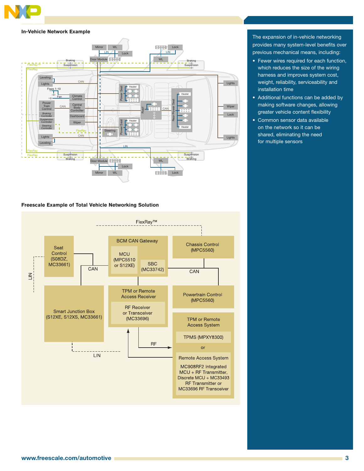

#### **In-Vehicle Network Example**



#### **Freescale Example of Total Vehicle Networking Solution**



The expansion of in-vehicle networking provides many system-level benefits over previous mechanical means, including:

- Fewer wires required for each function, which reduces the size of the wiring harness and improves system cost, weight, reliability, serviceability and installation time
- Additional functions can be added by making software changes, allowing greater vehicle content flexibility
- Common sensor data available on the network so it can be shared, eliminating the need for multiple sensors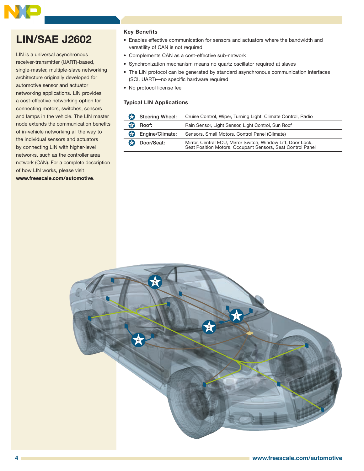### **LIN/SAE J2602**

LIN is a universal asynchronous receiver-transmitter (UART)-based, single-master, multiple-slave networking architecture originally developed for automotive sensor and actuator networking applications. LIN provides a cost-effective networking option for connecting motors, switches, sensors and lamps in the vehicle. The LIN master node extends the communication benefits of in-vehicle networking all the way to the individual sensors and actuators by connecting LIN with higher-level networks, such as the controller area network (CAN). For a complete description of how LIN works, please visit **www.freescale.com/automotive**.

#### **Key Benefits**

- Enables effective communication for sensors and actuators where the bandwidth and versatility of CAN is not required
- Complements CAN as a cost-effective sub-network
- Synchronization mechanism means no quartz oscillator required at slaves
- The LIN protocol can be generated by standard asynchronous communication interfaces (SCI, UART)—no specific hardware required
- No protocol license fee

#### **Typical LIN Applications**

| 63 | Steering Wheel: | Cruise Control, Wiper, Turning Light, Climate Control, Radio                                                              |  |
|----|-----------------|---------------------------------------------------------------------------------------------------------------------------|--|
| A  | Roof:           | Rain Sensor, Light Sensor, Light Control, Sun Roof                                                                        |  |
| 63 | Engine/Climate: | Sensors, Small Motors, Control Panel (Climate)                                                                            |  |
| ₩  | Door/Seat:      | Mirror, Central ECU, Mirror Switch, Window Lift, Door Lock,<br>Seat Position Motors, Occupant Sensors, Seat Control Panel |  |

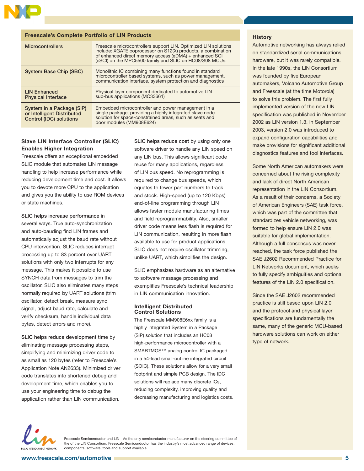

#### **Freescale's Complete Portfolio of LIN Products**

| <b>Microcontrollers</b>    | Freescale microcontrollers support LIN. Optimized LIN solutions<br>include: XGATE coprocessor on S12(X) products, a combination<br>of enhanced direct memory access (eDMA) + enhanced SCI<br>(eSCI) on the MPC5500 family and SLIC on HC08/S08 MCUs. |  |
|----------------------------|------------------------------------------------------------------------------------------------------------------------------------------------------------------------------------------------------------------------------------------------------|--|
| System Base Chip (SBC)     | Monolithic IC combining many functions found in standard<br>microcontroller based systems, such as power management,<br>communication interface, system protection and diagnostics                                                                   |  |
| <b>LIN Enhanced</b>        | Physical layer component dedicated to automotive LIN                                                                                                                                                                                                 |  |
| <b>Physical Interface</b>  | sub-bus applications (MC33661)                                                                                                                                                                                                                       |  |
| System in a Package (SiP)  | Embedded microcontroller and power management in a                                                                                                                                                                                                   |  |
| or Intelligent Distributed | single package, providing a highly integrated slave node solution for space-constrained areas, such as seats and                                                                                                                                     |  |
| Control (IDC) solutions    | door modules (MM908E624)                                                                                                                                                                                                                             |  |

#### **Slave LIN Interface Controller (SLIC) Enables Higher Integration**

Freescale offers an exceptional embedded SLIC module that automates LIN message handling to help increase performance while reducing development time and cost. It allows you to devote more CPU to the application and gives you the ability to use ROM devices or state machines.

SLIC helps increase performance in several ways. True auto-synchronization and auto-bauding find LIN frames and automatically adjust the baud rate without CPU intervention. SLIC reduces interrupt processing up to 83 percent over UART solutions with only two interrupts for any message. This makes it possible to use SYNCH data from messages to trim the oscillator. SLIC also eliminates many steps normally required by UART solutions (trim oscillator, detect break, measure sync signal, adjust baud rate, calculate and verify checksum, handle individual data bytes, detect errors and more).

SLIC helps reduce development time by eliminating message processing steps, simplifying and minimizing driver code to as small as 120 bytes (refer to Freescale's Application Note AN2633). Minimized driver code translates into shortened debug and development time, which enables you to use your engineering time to debug the application rather than LIN communication.

SLIC helps reduce cost by using only one software driver to handle any LIN speed on any LIN bus. This allows significant code reuse for many applications, regardless of LIN bus speed. No reprogramming is required to change bus speeds, which equates to fewer part numbers to track and stock. High-speed (up to 120 Kbps) end-of-line programming through LIN allows faster module manufacturing times and field reprogrammability. Also, smaller driver code means less flash is required for LIN communication, resulting in more flash available to use for product applications. SLIC does not require oscillator trimming, unlike UART, which simplifies the design.

SLIC emphasizes hardware as an alternative to software message processing and exemplifies Freescale's technical leadership in LIN communication innovation.

#### **Intelligent Distributed Control Solutions**

The Freescale MM908E6xx family is a highly integrated System in a Package (SiP) solution that includes an HC08 high-performance microcontroller with a SMARTMOS™ analog control IC packaged in a 54-lead small-outline integrated circuit (SOIC). These solutions allow for a very small footprint and simple PCB design. The IDC solutions will replace many discrete ICs, reducing complexity, improving quality and decreasing manufacturing and logistics costs.

#### **History**

Automotive networking has always relied on standardized serial communications hardware, but it was rarely compatible. In the late 1990s, the LIN Consortium was founded by five European automakers, Volcano Automotive Group and Freescale (at the time Motorola) to solve this problem. The first fully implemented version of the new LIN specification was published in November 2002 as LIN version 1.3. In September 2003, version 2.0 was introduced to expand configuration capabilities and make provisions for significant additional diagnostics features and tool interfaces.

Some North American automakers were concerned about the rising complexity and lack of direct North American representation in the LIN Consortium. As a result of their concerns, a Society of American Engineers (SAE) task force, which was part of the committee that standardizes vehicle networking, was formed to help ensure LIN 2.0 was suitable for global implementation. Although a full consensus was never reached, the task force published the SAE J2602 Recommended Practice for LIN Networks document, which seeks to fully specify ambiguities and optional features of the LIN 2.0 specification.

Since the SAE J2602 recommended practice is still based upon LIN 2.0 and the protocol and physical layer specifications are fundamentally the same, many of the generic MCU-based hardware solutions can work on either type of network.



Freescale Semiconductor and LIN—As the only semiconductor manufacturer on the steering committee of the of the LIN Consortium, Freescale Semiconductor has the industry's most advanced range of devices, components, software, tools and support available.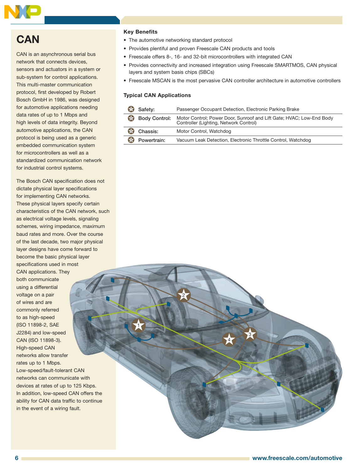

### **CAN**

CAN is an asynchronous serial bus network that connects devices, sensors and actuators in a system or sub-system for control applications. This multi-master communication protocol, first developed by Robert Bosch GmbH in 1986, was designed for automotive applications needing data rates of up to 1 Mbps and high levels of data integrity. Beyond automotive applications, the CAN protocol is being used as a generic embedded communication system for microcontrollers as well as a standardized communication network for industrial control systems.

The Bosch CAN specification does not dictate physical layer specifications for implementing CAN networks. These physical layers specify certain characteristics of the CAN network, such as electrical voltage levels, signaling schemes, wiring impedance, maximum baud rates and more. Over the course of the last decade, two major physical layer designs have come forward to become the basic physical layer specifications used in most CAN applications. They

both communicate using a differential voltage on a pair of wires and are commonly referred to as high-speed (ISO 11898-2, SAE J2284) and low-speed CAN (ISO 11898-3). High-speed CAN networks allow transfer rates up to 1 Mbps. Low-speed/fault-tolerant CAN networks can communicate with devices at rates of up to 125 Kbps. In addition, low-speed CAN offers the ability for CAN data traffic to continue in the event of a wiring fault.

#### **Key Benefits**

- The automotive networking standard protocol
- Provides plentiful and proven Freescale CAN products and tools
- Freescale offers 8-, 16- and 32-bit microcontrollers with integrated CAN
- Provides connectivity and increased integration using Freescale SMARTMOS, CAN physical layers and system basis chips (SBCs)
- Freescale MSCAN is the most pervasive CAN controller architecture in automotive controllers

#### **Typical CAN Applications**

| $\bigoplus$   | Safety:     | Passenger Occupant Detection, Electronic Parking Brake                                                                       |  |
|---------------|-------------|------------------------------------------------------------------------------------------------------------------------------|--|
| $\rightarrow$ |             | Body Control: Motor Control; Power Door, Sunroof and Lift Gate; HVAC; Low-End Body<br>Controller (Lighting, Network Control) |  |
| $\rightarrow$ | Chassis:    | Motor Control, Watchdog                                                                                                      |  |
| $\bigoplus$   | Powertrain: | Vacuum Leak Detection, Electronic Throttle Control, Watchdog                                                                 |  |

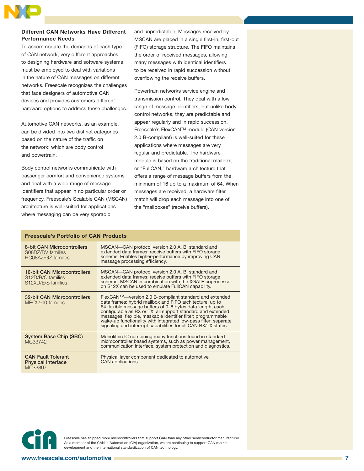

#### **Different CAN Networks Have Different Performance Needs**

To accommodate the demands of each type of CAN network, very different approaches to designing hardware and software systems must be employed to deal with variations in the nature of CAN messages on different networks. Freescale recognizes the challenges that face designers of automotive CAN devices and provides customers different hardware options to address these challenges.

Automotive CAN networks, as an example, can be divided into two distinct categories based on the nature of the traffic on the network: which are body control and powertrain.

Body control networks communicate with passenger comfort and convenience systems and deal with a wide range of message identifiers that appear in no particular order or frequency. Freescale's Scalable CAN (MSCAN) architecture is well-suited for applications where messaging can be very sporadic

and unpredictable. Messages received by MSCAN are placed in a single first-in, first-out (FIFO) storage structure. The FIFO maintains the order of received messages, allowing many messages with identical identifiers to be received in rapid succession without overflowing the receive buffers.

Powertrain networks service engine and transmission control. They deal with a low range of message identifiers, but unlike body control networks, they are predictable and appear regularly and in rapid succession. Freescale's FlexCAN™ module (CAN version 2.0 B-compliant) is well-suited for these applications where messages are very regular and predictable. The hardware module is based on the traditional mailbox, or "FullCAN," hardware architecture that offers a range of message buffers from the minimum of 16 up to a maximum of 64. When messages are received, a hardware filter match will drop each message into one of the "mailboxes" (receive buffers).

#### **Freescale's Portfolio of CAN Products**

| 8-bit CAN Microcontrollers<br>S08DZ/DV families<br>HC08AZ/GZ families  | MSCAN—CAN protocol version 2.0 A, B; standard and<br>extended data frames; receive buffers with FIFO storage<br>scheme. Enables higher-performance by improving CAN<br>message processing efficiency.                                                                                                                                                                                                                                                |  |  |
|------------------------------------------------------------------------|------------------------------------------------------------------------------------------------------------------------------------------------------------------------------------------------------------------------------------------------------------------------------------------------------------------------------------------------------------------------------------------------------------------------------------------------------|--|--|
| 16-bit CAN Microcontrollers<br>S12D/B/C families<br>S12XD/E/S families | MSCAN-CAN protocol version 2.0 A, B; standard and<br>extended data frames; receive buffers with FIFO storage<br>scheme. MSCAN in combination with the XGATE coprocessor<br>on S12X can be used to emulate FullCAN capability.                                                                                                                                                                                                                        |  |  |
| 32-bit CAN Microcontrollers<br>MPC5500 families                        | FlexCAN™—version 2.0 B-compliant standard and extended<br>data frames; hybrid mailbox and FIFO architecture; up to<br>64 flexible message buffers of 0-8 bytes data length, each<br>configurable as RX or TX, all support standard and extended<br>messages; flexible, maskable identifier filter; programmable<br>wake-up functionality with integrated low-pass filter; separate<br>signaling and interrupt capabilities for all CAN RX/TX states. |  |  |
| System Base Chip (SBC)<br>MC33742                                      | Monolithic IC combining many functions found in standard<br>microcontroller based systems, such as power management,<br>communication interface, system protection and diagnostics.                                                                                                                                                                                                                                                                  |  |  |
| <b>CAN Fault Tolerant</b><br><b>Physical Interface</b><br>MC33897      | Physical layer component dedicated to automotive<br>CAN applications.                                                                                                                                                                                                                                                                                                                                                                                |  |  |



Freescale has shipped more microcontrollers that support CAN than any other semiconductor manufacturer. As a member of the CAN in Automation (CiA) organization, we are continuing to support CAN market development and the international standardization of CAN technology.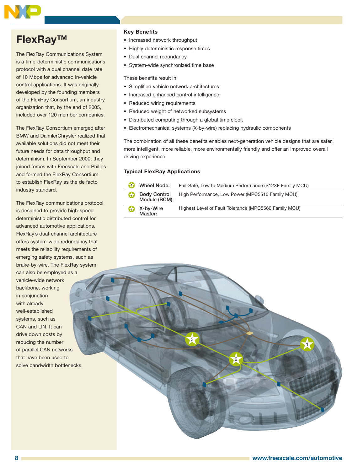### **FlexRay™**

The FlexRay Communications System is a time-deterministic communications protocol with a dual channel date rate of 10 Mbps for advanced in-vehicle control applications. It was originally developed by the founding members of the FlexRay Consortium, an industry organization that, by the end of 2005, included over 120 member companies.

The FlexRay Consortium emerged after BMW and DaimlerChrysler realized that available solutions did not meet their future needs for data throughput and determinism. In September 2000, they joined forces with Freescale and Philips and formed the FlexRay Consortium to establish FlexRay as the de facto industry standard.

The FlexRay communications protocol is designed to provide high-speed deterministic distributed control for advanced automotive applications. FlexRay's dual-channel architecture offers system-wide redundancy that meets the reliability requirements of emerging safety systems, such as brake-by-wire. The FlexRay system can also be employed as a

vehicle-wide network backbone, working in conjunction with already well-established systems, such as CAN and LIN. It can drive down costs by reducing the number of parallel CAN networks that have been used to solve bandwidth bottlenecks.

#### **Key Benefits**

- Increased network throughput
- Highly deterministic response times
- Dual channel redundancy
- System-wide synchronized time base

These benefits result in:

- Simplified vehicle network architectures
- Increased enhanced control intelligence
- Reduced wiring requirements
- Reduced weight of networked subsystems
- Distributed computing through a global time clock
- Electromechanical systems (X-by-wire) replacing hydraulic components

The combination of all these benefits enables next-generation vehicle designs that are safer, more intelligent, more reliable, more environmentally friendly and offer an improved overall driving experience.

#### **Typical FlexRay Applications**

|     | Wheel Node:<br>Fail-Safe, Low to Medium Performance (S12XF Family MCU) |                                                       |
|-----|------------------------------------------------------------------------|-------------------------------------------------------|
| 627 | Body Control<br>Module (BCM):                                          | High Performance, Low Power (MPC5510 Family MCU)      |
| 637 | X-by-Wire<br>Master:                                                   | Highest Level of Fault Tolerance (MPC5560 Family MCU) |

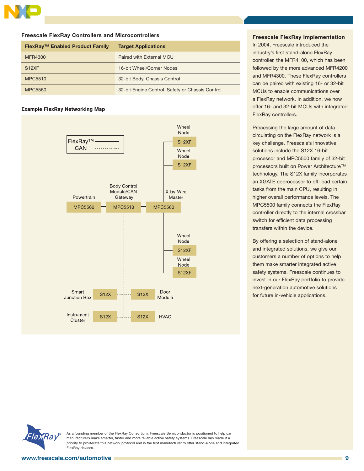

#### **Freescale FlexRay Controllers and Microcontrollers**

| FlexRay™ Enabled Product Family | <b>Target Applications</b>                       |
|---------------------------------|--------------------------------------------------|
| MFR4300                         | Paired with External MCU                         |
| S <sub>12</sub> XF              | 16-bit Wheel/Corner Nodes                        |
| MPC5510                         | 32-bit Body, Chassis Control                     |
| <b>MPC5560</b>                  | 32-bit Engine Control, Safety or Chassis Control |

#### **Example FlexRay Networking Map**



#### **Freescale FlexRay Implementation**

In 2004, Freescale introduced the industry's first stand-alone FlexRay controller, the MFR4100, which has been followed by the more advanced MFR4200 and MFR4300. These FlexRay controllers can be paired with existing 16- or 32-bit MCUs to enable communications over a FlexRay network. In addition, we now offer 16- and 32-bit MCUs with integrated FlexRay controllers.

Processing the large amount of data circulating on the FlexRay network is a key challenge. Freescale's innovative solutions include the S12X 16-bit processor and MPC5500 family of 32-bit processors built on Power Architecture™ technology. The S12X family incorporates an XGATE coprocessor to off-load certain tasks from the main CPU, resulting in higher overall performance levels. The MPC5500 family connects the FlexRay controller directly to the internal crossbar switch for efficient data processing transfers within the device.

By offering a selection of stand-alone and integrated solutions, we give our customers a number of options to help them make smarter integrated active safety systems. Freescale continues to invest in our FlexRay portfolio to provide next-generation automotive solutions for future in-vehicle applications.



As a founding member of the FlexRay Consortium, Freescale Semiconductor is positioned to help car manufacturers make smarter, faster and more reliable active safety systems. Freescale has made it a priority to proliferate this network protocol and is the first manufacturer to offer stand-alone and integrated FlexRay devices.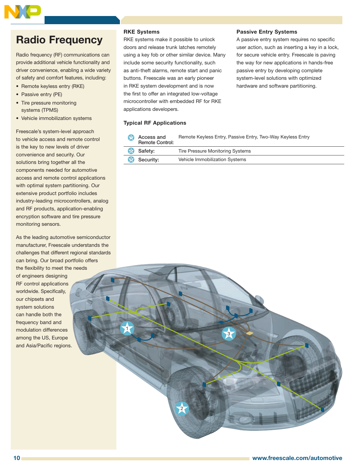

### **Radio Frequency**

Radio frequency (RF) communications can provide additional vehicle functionality and driver convenience, enabling a wide variety of safety and comfort features, including:

- Remote keyless entry (RKE)
- Passive entry (PE)
- Tire pressure monitoring systems (TPMS)
- Vehicle immobilization systems

Freescale's system-level approach to vehicle access and remote control is the key to new levels of driver convenience and security. Our solutions bring together all the components needed for automotive access and remote control applications with optimal system partitioning. Our extensive product portfolio includes industry-leading microcontrollers, analog and RF products, application-enabling encryption software and tire pressure monitoring sensors.

As the leading automotive semiconductor manufacturer, Freescale understands the challenges that different regional standards can bring. Our broad portfolio offers the flexibility to meet the needs

of engineers designing RF control applications worldwide. Specifically, our chipsets and system solutions can handle both the frequency band and modulation differences among the US, Europe and Asia/Pacific regions.

#### **RKE Systems**

RKE systems make it possible to unlock doors and release trunk latches remotely using a key fob or other similar device. Many include some security functionality, such as anti-theft alarms, remote start and panic buttons. Freescale was an early pioneer in RKE system development and is now the first to offer an integrated low-voltage microcontroller with embedded RF for RKE applications developers.

#### **Passive Entry Systems**

A passive entry system requires no specific user action, such as inserting a key in a lock, for secure vehicle entry. Freescale is paving the way for new applications in hands-free passive entry by developing complete system-level solutions with optimized hardware and software partitioning.

#### **Typical RF Applications**

| Access and<br><b>Remote Control:</b> | Remote Keyless Entry, Passive Entry, Two-Way Keyless Entry |
|--------------------------------------|------------------------------------------------------------|
| <sup>2</sup> Safety:                 | Tire Pressure Monitoring Systems                           |

| <sup>3</sup> Security: | Vehicle Immobilization Systems |
|------------------------|--------------------------------|
|                        |                                |

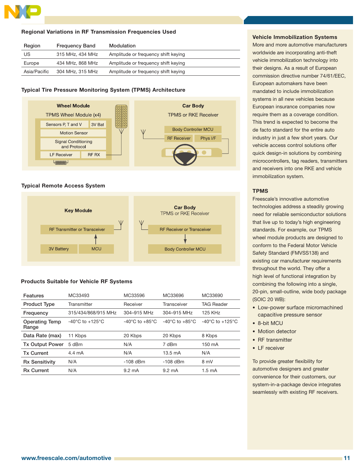

#### **Regional Variations in RF Transmission Frequencies Used**

| Region       | <b>Frequency Band</b> | Modulation                          |
|--------------|-----------------------|-------------------------------------|
| US           | 315 MHz. 434 MHz      | Amplitude or frequency shift keying |
| Europe       | 434 MHz, 868 MHz      | Amplitude or frequency shift keying |
| Asia/Pacific | 304 MHz, 315 MHz      | Amplitude or frequency shift keying |

#### **Typical Tire Pressure Monitoring System (TPMS) Architecture**



#### **Typical Remote Access System**



#### **Products Suitable for Vehicle RF Systems**

| <b>Features</b>                | MC33493                             | MC33596                            | MC33696                            | MC33690                             |
|--------------------------------|-------------------------------------|------------------------------------|------------------------------------|-------------------------------------|
| <b>Product Type</b>            | Transmitter                         | Receiver                           | Transceiver                        | <b>TAG Reader</b>                   |
| Frequency                      | 315/434/868/915 MHz                 | 304-915 MHz                        | 304-915 MHz                        | 125 KHz                             |
| <b>Operating Temp</b><br>Range | $-40^{\circ}$ C to $+125^{\circ}$ C | $-40^{\circ}$ C to $+85^{\circ}$ C | $-40^{\circ}$ C to $+85^{\circ}$ C | $-40^{\circ}$ C to $+125^{\circ}$ C |
| Data Rate (max)                | 11 Kbps                             | 20 Kbps                            | 20 Kbps                            | 8 Kbps                              |
| <b>Tx Output Power</b>         | 5 dBm                               | N/A                                | 7 dBm                              | 150 mA                              |
| <b>Tx Current</b>              | 4.4 mA                              | N/A                                | $13.5 \text{ mA}$                  | N/A                                 |
| <b>Rx Sensitivity</b>          | N/A                                 | $-108$ dBm                         | $-108$ dBm                         | 8 mV                                |
| <b>Rx Current</b>              | N/A                                 | $9.2 \text{ mA}$                   | $9.2 \text{ mA}$                   | $1.5 \text{ mA}$                    |
|                                |                                     |                                    |                                    |                                     |

#### **Vehicle Immobilization Systems**

More and more automotive manufacturers worldwide are incorporating anti-theft vehicle immobilization technology into their designs. As a result of European commission directive number 74/61/EEC, European automakers have been mandated to include immobilization systems in all new vehicles because European insurance companies now require them as a coverage condition. This trend is expected to become the de facto standard for the entire auto industry in just a few short years. Our vehicle access control solutions offer quick design-in solutions by combining microcontrollers, tag readers, transmitters and receivers into one RKE and vehicle immobilization system.

#### **TPMS**

Freescale's innovative automotive technologies address a steadily growing need for reliable semiconductor solutions that live up to today's high engineering standards. For example, our TPMS wheel module products are designed to conform to the Federal Motor Vehicle Safety Standard (FMVSS138) and existing car manufacturer requirements throughout the world. They offer a high level of functional integration by combining the following into a single, 20-pin, small-outline, wide body package (SOIC 20 WB):

- Low-power surface micromachined capacitive pressure sensor
- 8-bit MCU
- Motion detector
- RF transmitter
- LF receiver

To provide greater flexibility for automotive designers and greater convenience for their customers, our system-in-a-package device integrates seamlessly with existing RF receivers.